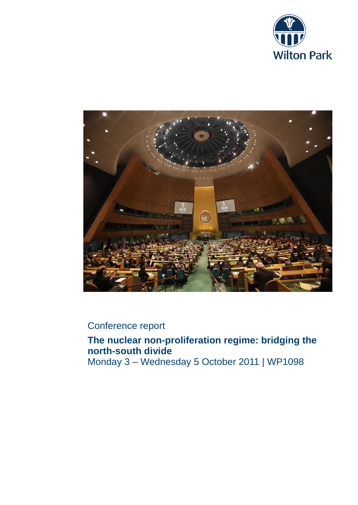



## Conference report

## **The nuclear non-proliferation regime: bridging the north-south divide** Monday 3 – Wednesday 5 October 2011 | WP1098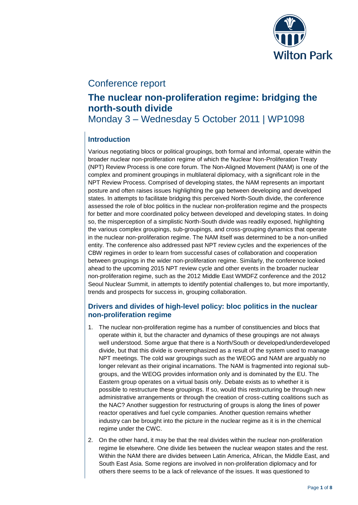

## Conference report

# **The nuclear non-proliferation regime: bridging the north-south divide**

Monday 3 – Wednesday 5 October 2011 | WP1098

## **Introduction**

Various negotiating blocs or political groupings, both formal and informal, operate within the broader nuclear non-proliferation regime of which the Nuclear Non-Proliferation Treaty (NPT) Review Process is one core forum. The Non-Aligned Movement (NAM) is one of the complex and prominent groupings in multilateral diplomacy, with a significant role in the NPT Review Process. Comprised of developing states, the NAM represents an important posture and often raises issues highlighting the gap between developing and developed states. In attempts to facilitate bridging this perceived North-South divide, the conference assessed the role of bloc politics in the nuclear non-proliferation regime and the prospects for better and more coordinated policy between developed and developing states. In doing so, the misperception of a simplistic North-South divide was readily exposed, highlighting the various complex groupings, sub-groupings, and cross-grouping dynamics that operate in the nuclear non-proliferation regime. The NAM itself was determined to be a non-unified entity. The conference also addressed past NPT review cycles and the experiences of the CBW regimes in order to learn from successful cases of collaboration and cooperation between groupings in the wider non-proliferation regime. Similarly, the conference looked ahead to the upcoming 2015 NPT review cycle and other events in the broader nuclear non-proliferation regime, such as the 2012 Middle East WMDFZ conference and the 2012 Seoul Nuclear Summit, in attempts to identify potential challenges to, but more importantly, trends and prospects for success in, grouping collaboration.

#### **Drivers and divides of high-level policy: bloc politics in the nuclear non-proliferation regime**

- 1. The nuclear non-proliferation regime has a number of constituencies and blocs that operate within it, but the character and dynamics of these groupings are not always well understood. Some argue that there is a North/South or developed/underdeveloped divide, but that this divide is overemphasized as a result of the system used to manage NPT meetings. The cold war groupings such as the WEOG and NAM are arguably no longer relevant as their original incarnations. The NAM is fragmented into regional subgroups, and the WEOG provides information only and is dominated by the EU. The Eastern group operates on a virtual basis only. Debate exists as to whether it is possible to restructure these groupings. If so, would this restructuring be through new administrative arrangements or through the creation of cross-cutting coalitions such as the NAC? Another suggestion for restructuring of groups is along the lines of power reactor operatives and fuel cycle companies. Another question remains whether industry can be brought into the picture in the nuclear regime as it is in the chemical regime under the CWC.
- 2. On the other hand, it may be that the real divides within the nuclear non-proliferation regime lie elsewhere. One divide lies between the nuclear weapon states and the rest. Within the NAM there are divides between Latin America, African, the Middle East, and South East Asia. Some regions are involved in non-proliferation diplomacy and for others there seems to be a lack of relevance of the issues. It was questioned to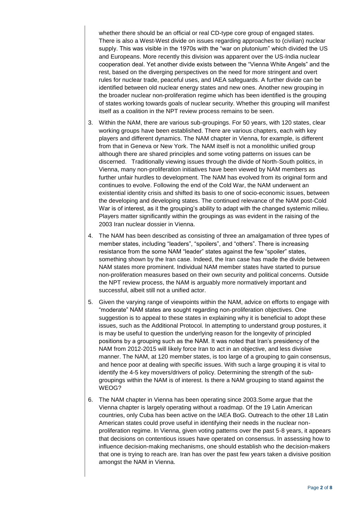whether there should be an official or real CD-type core group of engaged states. There is also a West-West divide on issues regarding approaches to (civilian) nuclear supply. This was visible in the 1970s with the "war on plutonium" which divided the US and Europeans. More recently this division was apparent over the US-India nuclear cooperation deal. Yet another divide exists between the "Vienna White Angels" and the rest, based on the diverging perspectives on the need for more stringent and overt rules for nuclear trade, peaceful uses, and IAEA safeguards. A further divide can be identified between old nuclear energy states and new ones. Another new grouping in the broader nuclear non-proliferation regime which has been identified is the grouping of states working towards goals of nuclear security. Whether this grouping will manifest itself as a coalition in the NPT review process remains to be seen.

- 3. Within the NAM, there are various sub-groupings. For 50 years, with 120 states, clear working groups have been established. There are various chapters, each with key players and different dynamics. The NAM chapter in Vienna, for example, is different from that in Geneva or New York. The NAM itself is not a monolithic unified group although there are shared principles and some voting patterns on issues can be discerned. Traditionally viewing issues through the divide of North-South politics, in Vienna, many non-proliferation initiatives have been viewed by NAM members as further unfair hurdles to development. The NAM has evolved from its original form and continues to evolve. Following the end of the Cold War, the NAM underwent an existential identity crisis and shifted its basis to one of socio-economic issues, between the developing and developing states. The continued relevance of the NAM post-Cold War is of interest, as it the grouping's ability to adapt with the changed systemic milieu. Players matter significantly within the groupings as was evident in the raising of the 2003 Iran nuclear dossier in Vienna.
- 4. The NAM has been described as consisting of three an amalgamation of three types of member states, including "leaders", "spoilers", and "others". There is increasing resistance from the some NAM "leader" states against the few "spoiler" states, something shown by the Iran case. Indeed, the Iran case has made the divide between NAM states more prominent. Individual NAM member states have started to pursue non-proliferation measures based on their own security and political concerns. Outside the NPT review process, the NAM is arguably more normatively important and successful, albeit still not a unified actor.
- 5. Given the varying range of viewpoints within the NAM, advice on efforts to engage with "moderate" NAM states are sought regarding non-proliferation objectives. One suggestion is to appeal to these states in explaining why it is beneficial to adopt these issues, such as the Additional Protocol. In attempting to understand group postures, it is may be useful to question the underlying reason for the longevity of principled positions by a grouping such as the NAM. It was noted that Iran's presidency of the NAM from 2012-2015 will likely force Iran to act in an objective, and less divisive manner. The NAM, at 120 member states, is too large of a grouping to gain consensus, and hence poor at dealing with specific issues. With such a large grouping it is vital to identify the 4-5 key movers/drivers of policy. Determining the strength of the subgroupings within the NAM is of interest. Is there a NAM grouping to stand against the WEOG?
- 6. The NAM chapter in Vienna has been operating since 2003.Some argue that the Vienna chapter is largely operating without a roadmap. Of the 19 Latin American countries, only Cuba has been active on the IAEA BoG. Outreach to the other 18 Latin American states could prove useful in identifying their needs in the nuclear nonproliferation regime. In Vienna, given voting patterns over the past 5-8 years, it appears that decisions on contentious issues have operated on consensus. In assessing how to influence decision-making mechanisms, one should establish who the decision-makers that one is trying to reach are. Iran has over the past few years taken a divisive position amongst the NAM in Vienna.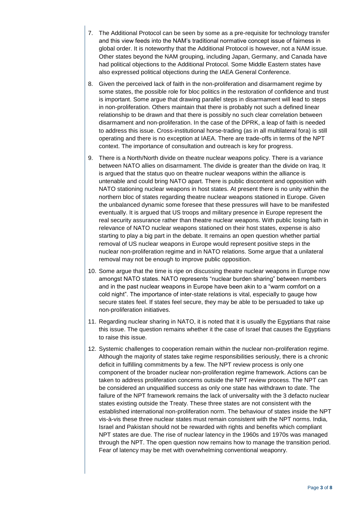- 7. The Additional Protocol can be seen by some as a pre-requisite for technology transfer and this view feeds into the NAM's traditional normative concept issue of fairness in global order. It is noteworthy that the Additional Protocol is however, not a NAM issue. Other states beyond the NAM grouping, including Japan, Germany, and Canada have had political objections to the Additional Protocol. Some Middle Eastern states have also expressed political objections during the IAEA General Conference.
- 8. Given the perceived lack of faith in the non-proliferation and disarmament regime by some states, the possible role for bloc politics in the restoration of confidence and trust is important. Some argue that drawing parallel steps in disarmament will lead to steps in non-proliferation. Others maintain that there is probably not such a defined linear relationship to be drawn and that there is possibly no such clear correlation between disarmament and non-proliferation. In the case of the DPRK, a leap of faith is needed to address this issue. Cross-institutional horse-trading (as in all multilateral fora) is still operating and there is no exception at IAEA. There are trade-offs in terms of the NPT context. The importance of consultation and outreach is key for progress.
- 9. There is a North/North divide on theatre nuclear weapons policy. There is a variance between NATO allies on disarmament. The divide is greater than the divide on Iraq. It is argued that the status quo on theatre nuclear weapons within the alliance is untenable and could bring NATO apart. There is public discontent and opposition with NATO stationing nuclear weapons in host states. At present there is no unity within the northern bloc of states regarding theatre nuclear weapons stationed in Europe. Given the unbalanced dynamic some foresee that these pressures will have to be manifested eventually. It is argued that US troops and military presence in Europe represent the real security assurance rather than theatre nuclear weapons. With public losing faith in relevance of NATO nuclear weapons stationed on their host states, expense is also starting to play a big part in the debate. It remains an open question whether partial removal of US nuclear weapons in Europe would represent positive steps in the nuclear non-proliferation regime and in NATO relations. Some argue that a unilateral removal may not be enough to improve public opposition.
- 10. Some argue that the time is ripe on discussing theatre nuclear weapons in Europe now amongst NATO states. NATO represents "nuclear burden sharing" between members and in the past nuclear weapons in Europe have been akin to a "warm comfort on a cold night". The importance of inter-state relations is vital, especially to gauge how secure states feel. If states feel secure, they may be able to be persuaded to take up non-proliferation initiatives.
- 11. Regarding nuclear sharing in NATO, it is noted that it is usually the Egyptians that raise this issue. The question remains whether it the case of Israel that causes the Egyptians to raise this issue.
- 12. Systemic challenges to cooperation remain within the nuclear non-proliferation regime. Although the majority of states take regime responsibilities seriously, there is a chronic deficit in fulfilling commitments by a few. The NPT review process is only one component of the broader nuclear non-proliferation regime framework. Actions can be taken to address proliferation concerns outside the NPT review process. The NPT can be considered an unqualified success as only one state has withdrawn to date. The failure of the NPT framework remains the lack of universality with the 3 defacto nuclear states existing outside the Treaty. These three states are not consistent with the established international non-proliferation norm. The behaviour of states inside the NPT vis-à-vis these three nuclear states must remain consistent with the NPT norms. India, Israel and Pakistan should not be rewarded with rights and benefits which compliant NPT states are due. The rise of nuclear latency in the 1960s and 1970s was managed through the NPT. The open question now remains how to manage the transition period. Fear of latency may be met with overwhelming conventional weaponry.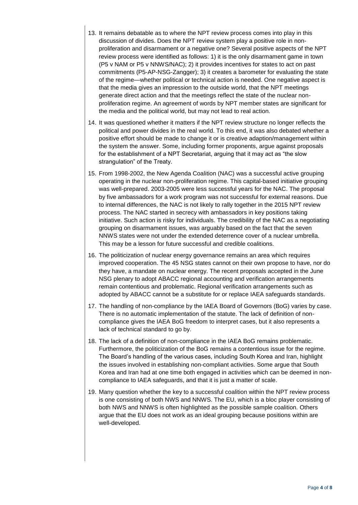- 13. It remains debatable as to where the NPT review process comes into play in this discussion of divides. Does the NPT review system play a positive role in nonproliferation and disarmament or a negative one? Several positive aspects of the NPT review process were identified as follows: 1) it is the only disarmament game in town (P5 v NAM or P5 v NNWS/NAC); 2) it provides incentives for states to act on past commitments (P5-AP-NSG-Zangger); 3) it creates a barometer for evaluating the state of the regime—whether political or technical action is needed. One negative aspect is that the media gives an impression to the outside world, that the NPT meetings generate direct action and that the meetings reflect the state of the nuclear nonproliferation regime. An agreement of words by NPT member states are significant for the media and the political world, but may not lead to real action.
- 14. It was questioned whether it matters if the NPT review structure no longer reflects the political and power divides in the real world. To this end, it was also debated whether a positive effort should be made to change it or is creative adaption/management within the system the answer. Some, including former proponents, argue against proposals for the establishment of a NPT Secretariat, arguing that it may act as "the slow strangulation" of the Treaty.
- 15. From 1998-2002, the New Agenda Coalition (NAC) was a successful active grouping operating in the nuclear non-proliferation regime. This capital-based initiative grouping was well-prepared. 2003-2005 were less successful years for the NAC. The proposal by five ambassadors for a work program was not successful for external reasons. Due to internal differences, the NAC is not likely to rally together in the 2015 NPT review process. The NAC started in secrecy with ambassadors in key positions taking initiative. Such action is risky for individuals. The credibility of the NAC as a negotiating grouping on disarmament issues, was arguably based on the fact that the seven NNWS states were not under the extended deterrence cover of a nuclear umbrella. This may be a lesson for future successful and credible coalitions.
- 16. The politicization of nuclear energy governance remains an area which requires improved cooperation. The 45 NSG states cannot on their own propose to have, nor do they have, a mandate on nuclear energy. The recent proposals accepted in the June NSG plenary to adopt ABACC regional accounting and verification arrangements remain contentious and problematic. Regional verification arrangements such as adopted by ABACC cannot be a substitute for or replace IAEA safeguards standards.
- 17. The handling of non-compliance by the IAEA Board of Governors (BoG) varies by case. There is no automatic implementation of the statute. The lack of definition of noncompliance gives the IAEA BoG freedom to interpret cases, but it also represents a lack of technical standard to go by.
- 18. The lack of a definition of non-compliance in the IAEA BoG remains problematic. Furthermore, the politicization of the BoG remains a contentious issue for the regime. The Board's handling of the various cases, including South Korea and Iran, highlight the issues involved in establishing non-compliant activities. Some argue that South Korea and Iran had at one time both engaged in activities which can be deemed in noncompliance to IAEA safeguards, and that it is just a matter of scale.
- 19. Many question whether the key to a successful coalition within the NPT review process is one consisting of both NWS and NNWS. The EU, which is a bloc player consisting of both NWS and NNWS is often highlighted as the possible sample coalition. Others argue that the EU does not work as an ideal grouping because positions within are well-developed.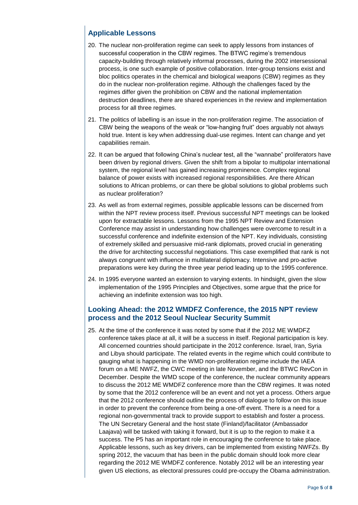### **Applicable Lessons**

- 20. The nuclear non-proliferation regime can seek to apply lessons from instances of successful cooperation in the CBW regimes. The BTWC regime's tremendous capacity-building through relatively informal processes, during the 2002 intersessional process, is one such example of positive collaboration. Inter-group tensions exist and bloc politics operates in the chemical and biological weapons (CBW) regimes as they do in the nuclear non-proliferation regime. Although the challenges faced by the regimes differ given the prohibition on CBW and the national implementation destruction deadlines, there are shared experiences in the review and implementation process for all three regimes.
- 21. The politics of labelling is an issue in the non-proliferation regime. The association of CBW being the weapons of the weak or "low-hanging fruit" does arguably not always hold true. Intent is key when addressing dual-use regimes. Intent can change and yet capabilities remain.
- 22. It can be argued that following China's nuclear test, all the "wannabe" proliferators have been driven by regional drivers. Given the shift from a bipolar to multipolar international system, the regional level has gained increasing prominence. Complex regional balance of power exists with increased regional responsibilities. Are there African solutions to African problems, or can there be global solutions to global problems such as nuclear proliferation?
- 23. As well as from external regimes, possible applicable lessons can be discerned from within the NPT review process itself. Previous successful NPT meetings can be looked upon for extractable lessons. Lessons from the 1995 NPT Review and Extension Conference may assist in understanding how challenges were overcome to result in a successful conference and indefinite extension of the NPT. Key individuals, consisting of extremely skilled and persuasive mid-rank diplomats, proved crucial in generating the drive for architecting successful negotiations. This case exemplified that rank is not always congruent with influence in multilateral diplomacy. Intensive and pro-active preparations were key during the three year period leading up to the 1995 conference.
- 24. In 1995 everyone wanted an extension to varying extents. In hindsight, given the slow implementation of the 1995 Principles and Objectives, some argue that the price for achieving an indefinite extension was too high.

#### **Looking Ahead: the 2012 WMDFZ Conference, the 2015 NPT review process and the 2012 Seoul Nuclear Security Summit**

25. At the time of the conference it was noted by some that if the 2012 ME WMDFZ conference takes place at all, it will be a success in itself. Regional participation is key. All concerned countries should participate in the 2012 conference. Israel, Iran, Syria and Libya should participate. The related events in the regime which could contribute to gauging what is happening in the WMD non-proliferation regime include the IAEA forum on a ME NWFZ, the CWC meeting in late November, and the BTWC RevCon in December. Despite the WMD scope of the conference, the nuclear community appears to discuss the 2012 ME WMDFZ conference more than the CBW regimes. It was noted by some that the 2012 conference will be an event and not yet a process. Others argue that the 2012 conference should outline the process of dialogue to follow on this issue in order to prevent the conference from being a one-off event. There is a need for a regional non-governmental track to provide support to establish and foster a process. The UN Secretary General and the host state (Finland)/facilitator (Ambassador Laajava) will be tasked with taking it forward, but it is up to the region to make it a success. The P5 has an important role in encouraging the conference to take place. Applicable lessons, such as key drivers, can be implemented from existing NWFZs. By spring 2012, the vacuum that has been in the public domain should look more clear regarding the 2012 ME WMDFZ conference. Notably 2012 will be an interesting year given US elections, as electoral pressures could pre-occupy the Obama administration.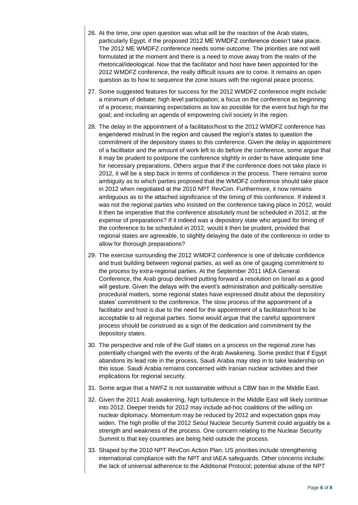- 26. At the time, one open question was what will be the reaction of the Arab states, particularly Egypt, if the proposed 2012 ME WMDFZ conference doesn't take place. The 2012 ME WMDFZ conference needs some outcome. The priorities are not well formulated at the moment and there is a need to move away from the realm of the rhetorical/ideological. Now that the facilitator and host have been appointed for the 2012 WMDFZ conference, the really difficult issues are to come. It remains an open question as to how to sequence the zone issues with the regional peace process.
- 27. Some suggested features for success for the 2012 WMDFZ conference might include: a minimum of debate; high level participation; a focus on the conference as beginning of a process; maintaining expectations as low as possible for the event but high for the goal; and including an agenda of empowering civil society in the region.
- 28. The delay in the appointment of a facilitator/host to the 2012 WMDFZ conference has engendered mistrust in the region and caused the region's states to question the commitment of the depository states to this conference. Given the delay in appointment of a facilitator and the amount of work left to do before the conference, some argue that it may be prudent to postpone the conference slightly in order to have adequate time for necessary preparations. Others argue that if the conference does not take place in 2012, it will be a step back in terms of confidence in the process. There remains some ambiguity as to which parties proposed that the WMDFZ conference should take place in 2012 when negotiated at the 2010 NPT RevCon. Furthermore, it now remains ambiguous as to the attached significance of the timing of this conference. If indeed it was not the regional parties who insisted on the conference taking place in 2012, would it then be imperative that the conference absolutely must be scheduled in 2012, at the expense of preparations? If it indeed was a depository state who argued for timing of the conference to be scheduled in 2012, would it then be prudent, provided that regional states are agreeable, to slightly delaying the date of the conference in order to allow for thorough preparations?
- 29. The exercise surrounding the 2012 WMDFZ conference is one of delicate confidence and trust building between regional parties, as well as one of gauging commitment to the process by extra-regional parties. At the September 2011 IAEA General Conference, the Arab group declined putting forward a resolution on Israel as a good will gesture. Given the delays with the event's administration and politically-sensitive procedural matters, some regional states have expressed doubt about the depository states' commitment to the conference. The slow process of the appointment of a facilitator and host is due to the need for the appointment of a facilitator/host to be acceptable to all regional parties. Some would argue that the careful appointment process should be construed as a sign of the dedication and commitment by the depository states.
- 30. The perspective and role of the Gulf states on a process on the regional zone has potentially changed with the events of the Arab Awakening. Some predict that if Egypt abandons its lead role in the process, Saudi Arabia may step in to take leadership on this issue. Saudi Arabia remains concerned with Iranian nuclear activities and their implications for regional security.
- 31. Some argue that a NWFZ is not sustainable without a CBW ban in the Middle East.
- 32. Given the 2011 Arab awakening, high turbulence in the Middle East will likely continue into 2012. Deeper trends for 2012 may include ad-hoc coalitions of the willing on nuclear diplomacy. Momentum may be reduced by 2012 and expectation gaps may widen. The high profile of the 2012 Seoul Nuclear Security Summit could arguably be a strength and weakness of the process. One concern relating to the Nuclear Security Summit is that key countries are being held outside the process.
- 33. Shaped by the 2010 NPT RevCon Action Plan, US priorities include strengthening international compliance with the NPT and IAEA safeguards. Other concerns include: the lack of universal adherence to the Additional Protocol; potential abuse of the NPT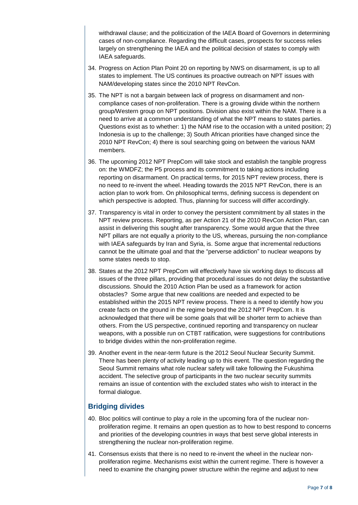withdrawal clause; and the politicization of the IAEA Board of Governors in determining cases of non-compliance. Regarding the difficult cases, prospects for success relies largely on strengthening the IAEA and the political decision of states to comply with IAEA safeguards.

- 34. Progress on Action Plan Point 20 on reporting by NWS on disarmament, is up to all states to implement. The US continues its proactive outreach on NPT issues with NAM/developing states since the 2010 NPT RevCon.
- 35. The NPT is not a bargain between lack of progress on disarmament and noncompliance cases of non-proliferation. There is a growing divide within the northern group/Western group on NPT positions. Division also exist within the NAM. There is a need to arrive at a common understanding of what the NPT means to states parties. Questions exist as to whether: 1) the NAM rise to the occasion with a united position; 2) Indonesia is up to the challenge; 3) South African priorities have changed since the 2010 NPT RevCon; 4) there is soul searching going on between the various NAM members.
- 36. The upcoming 2012 NPT PrepCom will take stock and establish the tangible progress on: the WMDFZ; the P5 process and its commitment to taking actions including reporting on disarmament. On practical terms, for 2015 NPT review process, there is no need to re-invent the wheel. Heading towards the 2015 NPT RevCon, there is an action plan to work from. On philosophical terms, defining success is dependent on which perspective is adopted. Thus, planning for success will differ accordingly.
- 37. Transparency is vital in order to convey the persistent commitment by all states in the NPT review process. Reporting, as per Action 21 of the 2010 RevCon Action Plan, can assist in delivering this sought after transparency. Some would argue that the three NPT pillars are not equally a priority to the US, whereas, pursuing the non-compliance with IAEA safeguards by Iran and Syria, is. Some argue that incremental reductions cannot be the ultimate goal and that the "perverse addiction" to nuclear weapons by some states needs to stop.
- 38. States at the 2012 NPT PrepCom will effectively have six working days to discuss all issues of the three pillars, providing that procedural issues do not delay the substantive discussions. Should the 2010 Action Plan be used as a framework for action obstacles? Some argue that new coalitions are needed and expected to be established within the 2015 NPT review process. There is a need to identify how you create facts on the ground in the regime beyond the 2012 NPT PrepCom. It is acknowledged that there will be some goals that will be shorter term to achieve than others. From the US perspective, continued reporting and transparency on nuclear weapons, with a possible run on CTBT ratification, were suggestions for contributions to bridge divides within the non-proliferation regime.
- 39. Another event in the near-term future is the 2012 Seoul Nuclear Security Summit. There has been plenty of activity leading up to this event. The question regarding the Seoul Summit remains what role nuclear safety will take following the Fukushima accident. The selective group of participants in the two nuclear security summits remains an issue of contention with the excluded states who wish to interact in the formal dialogue.

#### **Bridging divides**

- 40. Bloc politics will continue to play a role in the upcoming fora of the nuclear nonproliferation regime. It remains an open question as to how to best respond to concerns and priorities of the developing countries in ways that best serve global interests in strengthening the nuclear non-proliferation regime.
- 41. Consensus exists that there is no need to re-invent the wheel in the nuclear nonproliferation regime. Mechanisms exist within the current regime. There is however a need to examine the changing power structure within the regime and adjust to new